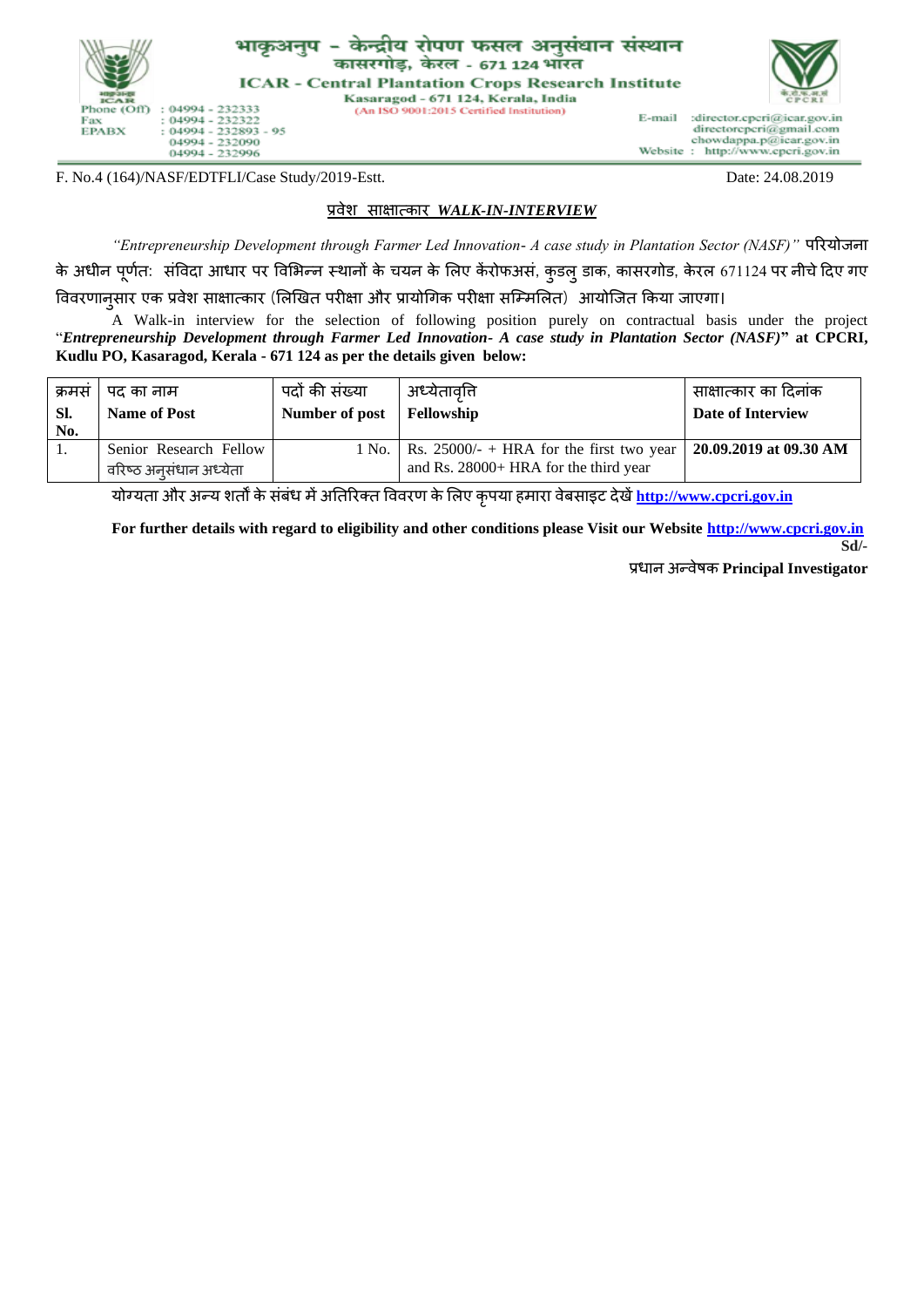

F. No.4 (164)/NASF/EDTFLI/Case Study/2019-Estt. Date: 24.08.2019

## प्रवेश साक्षात्कार *WALK-IN-INTERVIEW*

*"Entrepreneurship Development through Farmer Led Innovation- A case study in Plantation Sector (NASF)"* पररयोजना के अधीन पूर्णत: संविदा आधार पर विभिन्न स्थानों के चयन के लिए केंरोफअसं, कुडल् डाक, कासरगोड, केरल 671124 पर नीचे दिए गए वववरर्ानुसार एक प्रवेश साक्षात्कार (भिखित परीक्षा और प्रायोगगक परीक्षा सम्मिभित) आयोम्जत ककया जाएगा।

A Walk-in interview for the selection of following position purely on contractual basis under the project "*Entrepreneurship Development through Farmer Led Innovation- A case study in Plantation Sector (NASF)***" at CPCRI, Kudlu PO, Kasaragod, Kerala - 671 124 as per the details given below:**

| क्रमस<br>SI.<br>No. | पद का नाम<br><b>Name of Post</b>                 | पदों की संख्या<br>Number of post | अध्येतावति<br>Fellowship                                                                                   | साक्षात्कार का दिनांक<br>Date of Interview |
|---------------------|--------------------------------------------------|----------------------------------|------------------------------------------------------------------------------------------------------------|--------------------------------------------|
|                     | Senior Research Fellow<br>वरिष्ठ अनसंधान अध्येता | 1 No.                            | Rs. 25000/- + HRA for the first two year   20.09.2019 at 09.30 AM<br>and Rs. 28000+ HRA for the third year |                                            |

योग्यता और अन्य शतों के संबंध िेंअततररक्त वववरर् के भिए कृपया हिारा वेबसाइट देिें**[http://www.cpcri.gov.in](http://www.cpcri.gov.in/)**

**For further details with regard to eligibility and other conditions please Visit our Website [http://www.cpcri.gov.in](http://www.cpcri.gov.in/) Sd/-**

प्रधान अन्वेषक **Principal Investigator**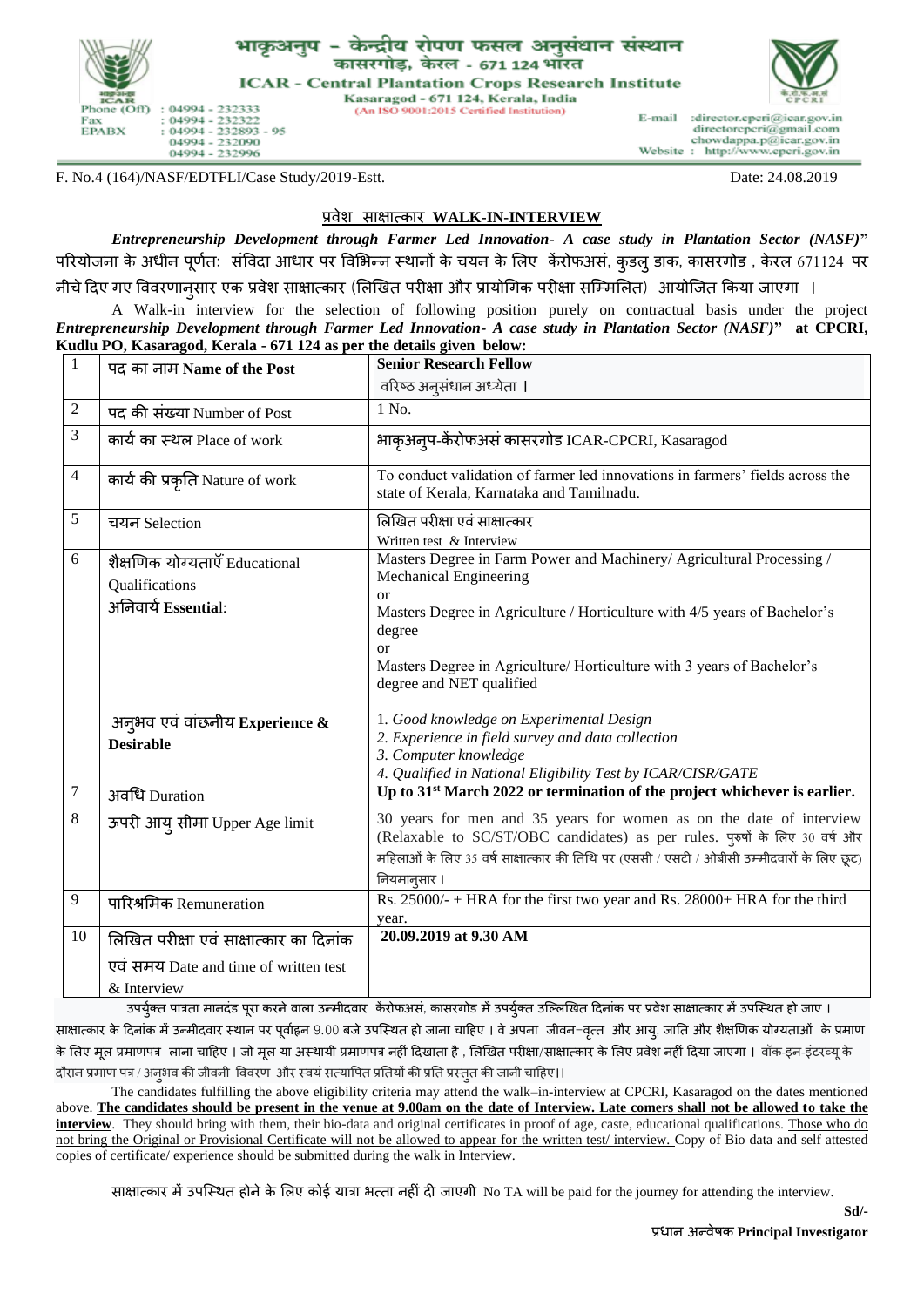

## - केन्द्रीय रोपण फसल अनसंधान संस्थान कासरगोड, केरल - 671 124 भॉरत

**ICAR - Central Plantation Crops Research Institute** Kasaragod - 671 124, Kerala, India

(An ISO 9001:2015 Certified Institution)

E-mail :director.cpcri@icar.gov.in directorcpcri@gmail.com chowdappa.p@icar.gov.in<br>Website: http://www.cpcri.gov.in

F. No.4 (164)/NASF/EDTFLI/Case Study/2019-Estt. Date: 24.08.2019

## प्रवेश साक्षात्कार **WALK-IN-INTERVIEW**

*Entrepreneurship Development through Farmer Led Innovation- A case study in Plantation Sector (NASF)***"**  परियोजना के अधीन पूर्णत: संविदा आधार पर विभिन्न स्थानों के चयन के लिए केंरोफअसं, कुडल् डाक, कासरगोड , केरल 671124 पर

नीचेददए गए वववरर्ानुसार एक प्रवेश साक्षात्कार (भिखित परीक्षा और प्रायोगगक परीक्षा सम्मिभित) आयोम्जत ककया जाएगा ।

A Walk-in interview for the selection of following position purely on contractual basis under the project *Entrepreneurship Development through Farmer Led Innovation- A case study in Plantation Sector (NASF)***" at CPCRI, Kudlu PO, Kasaragod, Kerala - 671 124 as per the details given below:**

| $\mathbf{1}$   | पद का नाम Name of the Post                                                                      | <b>Senior Research Fellow</b>                                                                                                                                                                                                                                                                                             |
|----------------|-------------------------------------------------------------------------------------------------|---------------------------------------------------------------------------------------------------------------------------------------------------------------------------------------------------------------------------------------------------------------------------------------------------------------------------|
|                |                                                                                                 | वरिष्ठ अनुसंधान अध्येता ।                                                                                                                                                                                                                                                                                                 |
| 2              | पद की संख्या Number of Post                                                                     | 1 No.                                                                                                                                                                                                                                                                                                                     |
| 3              | कार्य का स्थल Place of work                                                                     | भाकृअन्प-केंरोफअसं कासरगोड ICAR-CPCRI, Kasaragod                                                                                                                                                                                                                                                                          |
| $\overline{4}$ | कार्य की प्रकृति Nature of work                                                                 | To conduct validation of farmer led innovations in farmers' fields across the<br>state of Kerala, Karnataka and Tamilnadu.                                                                                                                                                                                                |
| 5              | चयन Selection                                                                                   | लिखित परीक्षा एवं साक्षात्कार<br>Written test & Interview                                                                                                                                                                                                                                                                 |
| 6              | शैक्षणिक योग्यताएँ Educational<br>Qualifications<br>अनिवार्य Essential:                         | Masters Degree in Farm Power and Machinery/ Agricultural Processing /<br>Mechanical Engineering<br>$\alpha$<br>Masters Degree in Agriculture / Horticulture with 4/5 years of Bachelor's<br>degree<br><sub>or</sub><br>Masters Degree in Agriculture/ Horticulture with 3 years of Bachelor's<br>degree and NET qualified |
|                | अन्अव एवं वांछनीय Experience $\boldsymbol{\&}$<br><b>Desirable</b>                              | 1. Good knowledge on Experimental Design<br>2. Experience in field survey and data collection<br>3. Computer knowledge<br>4. Qualified in National Eligibility Test by ICAR/CISR/GATE                                                                                                                                     |
| 7              | अवधि Duration                                                                                   | Up to 31 <sup>st</sup> March 2022 or termination of the project whichever is earlier.                                                                                                                                                                                                                                     |
| 8              | ऊपरी आयु सीमा Upper Age limit                                                                   | 30 years for men and 35 years for women as on the date of interview<br>(Relaxable to SC/ST/OBC candidates) as per rules. पुरुषों के लिए 30 वर्ष और<br>महिलाओं के लिए 35 वर्ष साक्षात्कार की तिथि पर (एससी / एसटी / ओबीसी उम्मीदवारों के लिए छूट)<br>नियमानूसार ।                                                          |
| 9              | पारिश्रमिक Remuneration                                                                         | Rs. 25000/- + HRA for the first two year and Rs. 28000+ HRA for the third<br>year.                                                                                                                                                                                                                                        |
| 10             | लिखित परीक्षा एवं साक्षात्कार का दिनांक<br>एवं समय Date and time of written test<br>& Interview | 20.09.2019 at 9.30 AM<br>$-\sim$ $\sim$<br>$\sim$<br>$ \infty$ $-$                                                                                                                                                                                                                                                        |

उपर्युक्त पात्रता मानदंड पूरा करने वाला उन्मीदवार केंरोफअसं, कासरगोड में उपर्युक्त उल्लिखित दिनांक पर प्रवेश साक्षात्कार में उपस्थित हो जाए । साक्षात्कार के दिनांक में उन्मीदवार स्थान पर पूर्वाहन 9.00 बजे उपस्थित हो जाना चाहिए । वे अपना जीवन-वत्त और आयु, जाति और शैक्षणिक योग्यताओं के प्रमाण के लिए मूल प्रमाणपत्र लाना चाहिए । जो मूल या अस्थायी प्रमाणपत्र नहीं दिखाता है , लिखित परीक्षा/साक्षातकार के लिए प्रवेश नहीं दिया जाएगा । वॉक-इन-इंटरव्यू के दौरान प्रमाण पत्र / अनुभव की जीवनी विवरण और स्वयं सत्यापित प्रतियों की प्रति प्रस्तुत की जानी चाहिए।।

The candidates fulfilling the above eligibility criteria may attend the walk–in-interview at CPCRI, Kasaragod on the dates mentioned above. **The candidates should be present in the venue at 9.00am on the date of Interview. Late comers shall not be allowed to take the interview**. They should bring with them, their bio-data and original certificates in proof of age, caste, educational qualifications. Those who do not bring the Original or Provisional Certificate will not be allowed to appear for the written test/ interview. Copy of Bio data and self attested copies of certificate/ experience should be submitted during the walk in Interview.

साक्षात्कार में उपस्थित होने के लिए कोई यात्रा भत्ता नहीं दी जाएगी No TA will be paid for the journey for attending the interview.

**Sd/-**